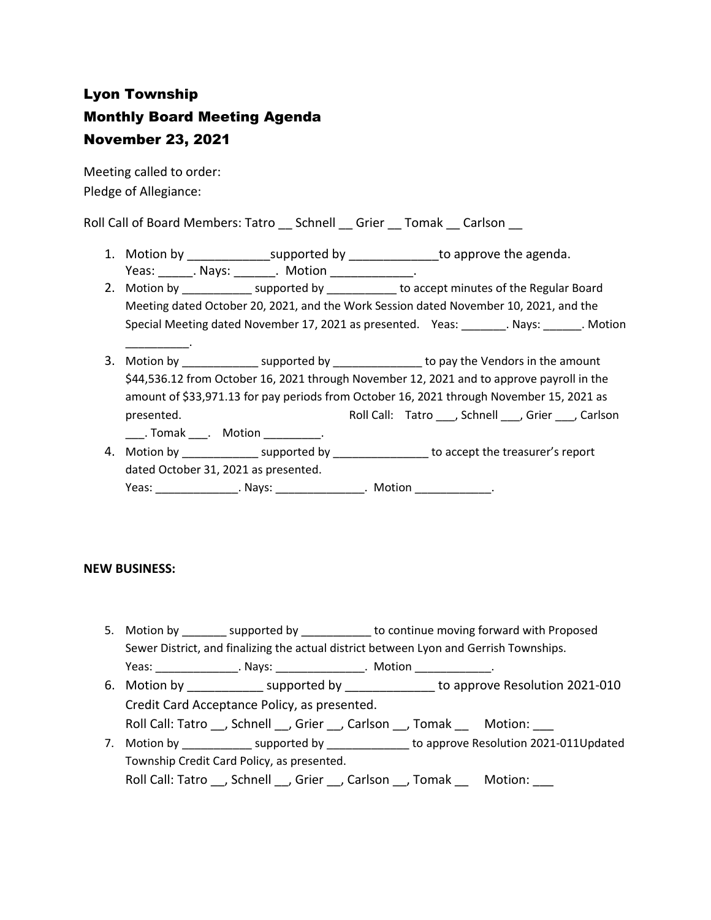# Lyon Township Monthly Board Meeting Agenda November 23, 2021

Meeting called to order: Pledge of Allegiance:

\_\_\_\_\_\_\_\_\_\_.

Roll Call of Board Members: Tatro \_\_ Schnell \_\_ Grier \_\_ Tomak \_\_ Carlson \_\_

- 1. Motion by \_\_\_\_\_\_\_\_\_\_\_\_\_\_\_\_supported by \_\_\_\_\_\_\_\_\_\_\_\_\_\_\_\_to approve the agenda. Yeas: Nays: Nays: Notion Neas: News, 2016
- 2. Motion by \_\_\_\_\_\_\_\_\_\_\_\_\_ supported by \_\_\_\_\_\_\_\_\_\_\_ to accept minutes of the Regular Board Meeting dated October 20, 2021, and the Work Session dated November 10, 2021, and the Special Meeting dated November 17, 2021 as presented. Yeas: \_\_\_\_\_\_\_. Nays: \_\_\_\_\_\_\_. Motion
- 3. Motion by \_\_\_\_\_\_\_\_\_\_\_\_\_\_ supported by \_\_\_\_\_\_\_\_\_\_\_\_\_\_\_\_ to pay the Vendors in the amount \$44,536.12 from October 16, 2021 through November 12, 2021 and to approve payroll in the amount of \$33,971.13 for pay periods from October 16, 2021 through November 15, 2021 as presented. Tatro Roll Call: Tatro Channell Call: Tatro Channel Channel Carlson \_\_\_\_. Tomak \_\_\_\_. Motion \_\_\_\_\_\_\_\_\_\_.
- 4. Motion by \_\_\_\_\_\_\_\_\_\_\_\_\_\_\_ supported by \_\_\_\_\_\_\_\_\_\_\_\_\_\_\_\_\_\_ to accept the treasurer's report dated October 31, 2021 as presented.

Yeas: \_\_\_\_\_\_\_\_\_\_\_\_\_\_\_\_\_. Nays: \_\_\_\_\_\_\_\_\_\_\_\_\_\_\_\_\_. Motion \_\_\_\_\_\_\_\_\_\_\_\_\_\_\_.

### **NEW BUSINESS:**

5. Motion by supported by to continue moving forward with Proposed Sewer District, and finalizing the actual district between Lyon and Gerrish Townships. Yeas: \_\_\_\_\_\_\_\_\_\_\_\_\_\_\_\_\_. Nays: \_\_\_\_\_\_\_\_\_\_\_\_\_\_\_\_\_. Motion \_\_\_\_\_\_\_\_\_\_\_\_\_\_\_.

6. Motion by \_\_\_\_\_\_\_\_\_\_\_\_\_ supported by \_\_\_\_\_\_\_\_\_\_\_ to approve Resolution 2021-010 Credit Card Acceptance Policy, as presented.

Roll Call: Tatro \_\_, Schnell \_\_, Grier \_\_, Carlson \_\_, Tomak \_\_\_\_ Motion:

7. Motion by \_\_\_\_\_\_\_\_\_\_\_\_\_ supported by \_\_\_\_\_\_\_\_\_\_\_\_\_\_ to approve Resolution 2021-011Updated Township Credit Card Policy, as presented. Roll Call: Tatro \_\_, Schnell \_\_, Grier \_\_, Carlson \_\_, Tomak \_\_\_\_ Motion: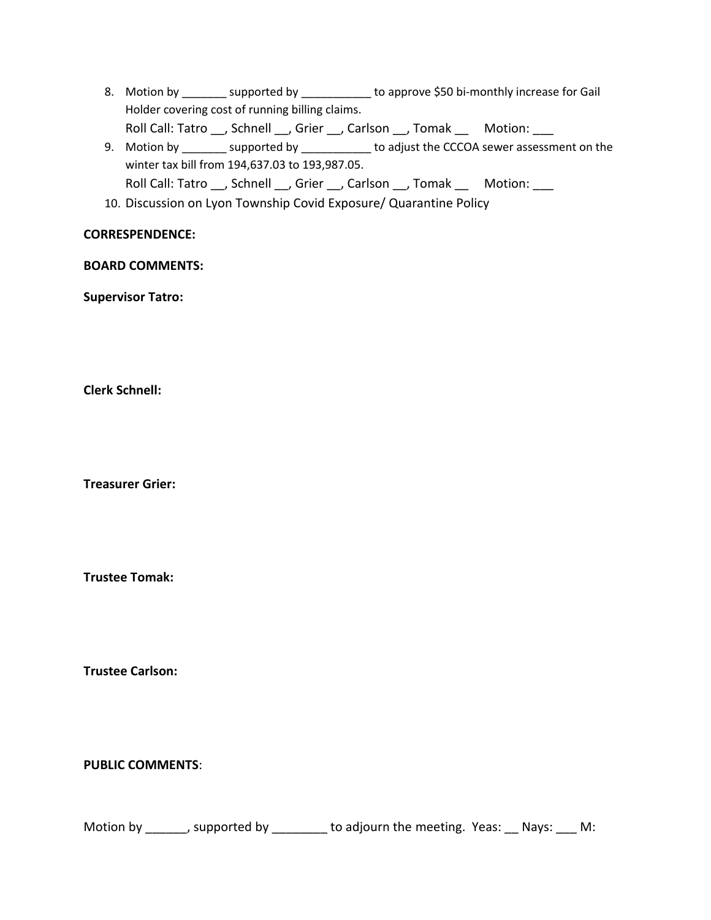- 8. Motion by \_\_\_\_\_\_\_ supported by \_\_\_\_\_\_\_\_\_\_ to approve \$50 bi-monthly increase for Gail Holder covering cost of running billing claims. Roll Call: Tatro \_\_, Schnell \_\_, Grier \_\_, Carlson \_\_, Tomak \_\_ Motion: \_\_\_
- 9. Motion by \_\_\_\_\_\_\_ supported by \_\_\_\_\_\_\_\_\_\_ to adjust the CCCOA sewer assessment on the winter tax bill from 194,637.03 to 193,987.05. Roll Call: Tatro \_\_, Schnell \_\_, Grier \_\_, Carlson \_\_, Tomak \_\_ Motion: \_\_\_
- 10. Discussion on Lyon Township Covid Exposure/ Quarantine Policy

## **CORRESPENDENCE:**

## **BOARD COMMENTS:**

**Supervisor Tatro:**

**Clerk Schnell:** 

**Treasurer Grier:**

**Trustee Tomak:**

**Trustee Carlson:**

## **PUBLIC COMMENTS**:

Motion by \_\_\_\_\_\_, supported by \_\_\_\_\_\_\_\_ to adjourn the meeting. Yeas: \_\_ Nays: \_\_\_ M: